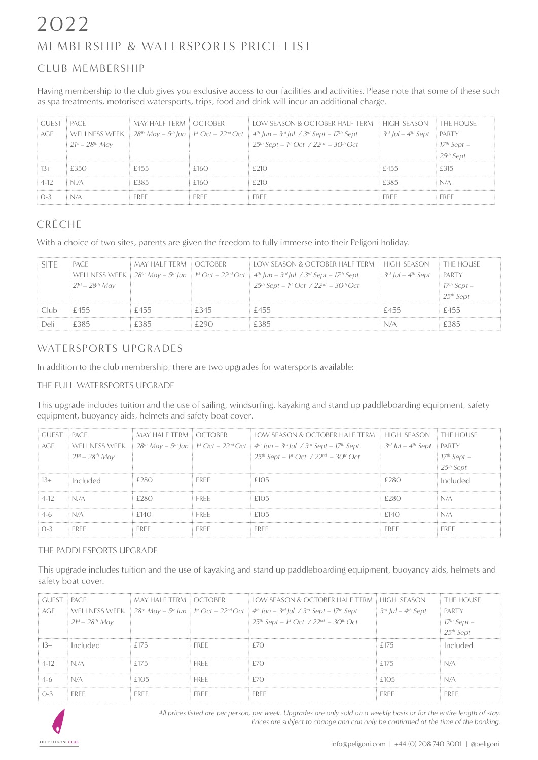## MEMBERSHIP & WATERSPORTS PRICE LIST 2022

### CLUB MEMBERSHIP

Having membership to the club gives you exclusive access to our facilities and activities. Please note that some of these such as spa treatments, motorised watersports, trips, food and drink will incur an additional charge.

| GUEST PACE |                         | MAY HALF TERM LOCTOBER |      | <b>ELOW SEASON &amp; OCTOBER HALF TERM  HIGH SEASON  I THE HOUSE</b>                                                                                                                                                                   |                                           |                                                  |
|------------|-------------------------|------------------------|------|----------------------------------------------------------------------------------------------------------------------------------------------------------------------------------------------------------------------------------------|-------------------------------------------|--------------------------------------------------|
| AGE        |                         |                        |      | WELLNESS WEEK $\frac{1}{2}$ 28 <sup>th</sup> May – 5 <sup>th</sup> Jun $\frac{1}{2}$ 1 <sup>st</sup> Oct – 22 <sup>nd</sup> Oct $\frac{1}{2}$ 4 <sup>th</sup> Jun – 3 <sup>rd</sup> Jul / 3 <sup>rd</sup> Sept – 17 <sup>th</sup> Sept | $3^{rd}$ Jul – 4 <sup>th</sup> Sept PARTY |                                                  |
|            | $21^{st} - 28^{th}$ May |                        |      | $25^{th}$ Sept – 1 <sup>st</sup> Oct / $22^{nd}$ – $30^{th}$ Oct                                                                                                                                                                       |                                           | 17 <sup>th</sup> Sept –<br>25 <sup>th</sup> Sept |
|            |                         |                        |      |                                                                                                                                                                                                                                        |                                           |                                                  |
|            | f350                    | -455                   | F160 | f210                                                                                                                                                                                                                                   | -455                                      | F 315                                            |
|            | N/A                     | 2385                   | F160 | F 21 A                                                                                                                                                                                                                                 | F385                                      |                                                  |
|            |                         |                        | FREE | FREE                                                                                                                                                                                                                                   | EREE.                                     | FREE                                             |

### CRÈCHE

With a choice of two sites, parents are given the freedom to fully immerse into their Peligoni holiday.

|      | i pace.           | MAY HALF TERM LOCTOBER |       | $\pm 1$ OW SEASON & OCTOBER HALE TERM $\pm$ HIGH SEASON $\pm$                                                                                            |                                       | $\overline{\phantom{a}}$ . The house |
|------|-------------------|------------------------|-------|----------------------------------------------------------------------------------------------------------------------------------------------------------|---------------------------------------|--------------------------------------|
|      |                   |                        |       | WELLNESS WEEK $28^{th}$ May $-5^{th}$ Jun $\mathbb{F}^1$ Oct $-22^{nd}$ Oct $\mathbb{F}^4$ Jun $-3^{rd}$ Jul $\ell$ 3 <sup>rd</sup> Sept $-17^{th}$ Sept | $3^{rd}$ Jul $-$ 4 <sup>th</sup> Sept | <b>EPARTY</b>                        |
|      | $21st - 28th$ Mav |                        |       | $25^{th}$ Sept – 1st Oct / $22^{nd}$ – $30^{th}$ Oct                                                                                                     |                                       | $17th$ Sept $-$                      |
|      |                   |                        |       |                                                                                                                                                          |                                       | $25th$ Sept                          |
|      | f455.             | £455                   | f 345 | £455                                                                                                                                                     | £455                                  | £455                                 |
| Deli | £385              | 2385                   | ാവെ   | £385                                                                                                                                                     |                                       | F385                                 |

### WATERSPORTS UPGRADES

In addition to the club membership, there are two upgrades for watersports available:

### THE FULL WATERSPORTS UPGRADE

This upgrade includes tuition and the use of sailing, windsurfing, kayaking and stand up paddleboarding equipment, safety equipment, buoyancy aids, helmets and safety boat cover.

| GUEST PACE |                         | MAY HALF TERM LOCTOBER |             | $\pm$ LOW SEASON & OCTOBER HALF TERM $\pm$ HIGH SEASON $\pm$ THE HOUSE                                                                                                                                                      |                                           |                                                    |
|------------|-------------------------|------------------------|-------------|-----------------------------------------------------------------------------------------------------------------------------------------------------------------------------------------------------------------------------|-------------------------------------------|----------------------------------------------------|
| AGE        |                         |                        |             | WELLNESS WEEK $\frac{1}{2}8^{th}$ May – 5 <sup>th</sup> Jun $\frac{1}{2}$ i <sup>st</sup> Oct – 22 <sup>nd</sup> Oct $\frac{1}{2}$ 4 <sup>th</sup> Jun – 3 <sup>rd</sup> Jul / 3 <sup>rd</sup> Sept – 17 <sup>th</sup> Sept | $3^{rd}$ Jul – 4 <sup>th</sup> Sept PARTY |                                                    |
|            | $21^{st} - 28^{th}$ May |                        |             | $25^{th}$ Sept – 1st Oct / $22^{nd}$ – $30^{th}$ Oct                                                                                                                                                                        |                                           | 17 <sup>th</sup> Sept –<br>: 25 <sup>th</sup> Sept |
|            |                         |                        |             |                                                                                                                                                                                                                             |                                           |                                                    |
| 13+        | Included                | £280.                  | <b>EREE</b> | f105                                                                                                                                                                                                                        | F 280                                     | Included                                           |
|            | N/A                     | 228O                   | <b>EREE</b> | £105                                                                                                                                                                                                                        | ി8∩                                       | N/A                                                |
|            | N/A                     | F140.                  | <b>FREE</b> | f105                                                                                                                                                                                                                        | £140                                      | N/A                                                |
|            | <b>FRFF</b>             | FREE.                  | FREE        | FREE                                                                                                                                                                                                                        | FREE                                      | erff                                               |

### THE PADDLESPORTS UPGRADE

This upgrade includes tuition and the use of kayaking and stand up paddleboarding equipment, buoyancy aids, helmets and safety boat cover.

| GUEST PACE |                         | MAY HALF TERM LOCTOBER |             | LOW SEASON & OCTOBER HALF TERM E HIGH SEASON                                                                                                                                                                                           |                                       | THE HOUSE                                        |
|------------|-------------------------|------------------------|-------------|----------------------------------------------------------------------------------------------------------------------------------------------------------------------------------------------------------------------------------------|---------------------------------------|--------------------------------------------------|
| AGF        |                         |                        |             | WELLNESS WEEK $\frac{1}{2}$ 28 <sup>th</sup> May – 5 <sup>th</sup> Jun $\frac{1}{2}$ 1 <sup>st</sup> Oct – 22 <sup>nd</sup> Oct $\frac{1}{2}$ 4 <sup>th</sup> Jun – 3 <sup>rd</sup> Jul / 3 <sup>rd</sup> Sept – 17 <sup>th</sup> Sept | $3^{rd}$ Jul $-$ 4 <sup>th</sup> Sept | PARTY                                            |
|            | $21^{st} - 28^{th}$ May |                        |             | $25^{th}$ Sept – 1st Oct / $22^{nd}$ – $30^{th}$ Oct                                                                                                                                                                                   |                                       | 17 <sup>th</sup> Sept –<br>25 <sup>th</sup> Sept |
|            |                         |                        |             |                                                                                                                                                                                                                                        |                                       |                                                  |
| 13+        | Included                | £175                   | <b>FREE</b> | ר?                                                                                                                                                                                                                                     | £175                                  | Included                                         |
| 4-12       | N/A                     | f 175                  | eref.       | ר?                                                                                                                                                                                                                                     | £175                                  | N/A                                              |
|            | N/A                     | f105                   | <b>FREE</b> | F70                                                                                                                                                                                                                                    | £105                                  | N/A                                              |
| 0-3        | <b>FREE</b>             | FREE                   | <b>FREE</b> | <b>FREE</b>                                                                                                                                                                                                                            | <b>FREE</b>                           | <b>FRFF</b>                                      |



*All prices listed are per person, per week. Upgrades are only sold on a weekly basis or for the entire length of stay. Prices are subject to change and can only be confirmed at the time of the booking.*